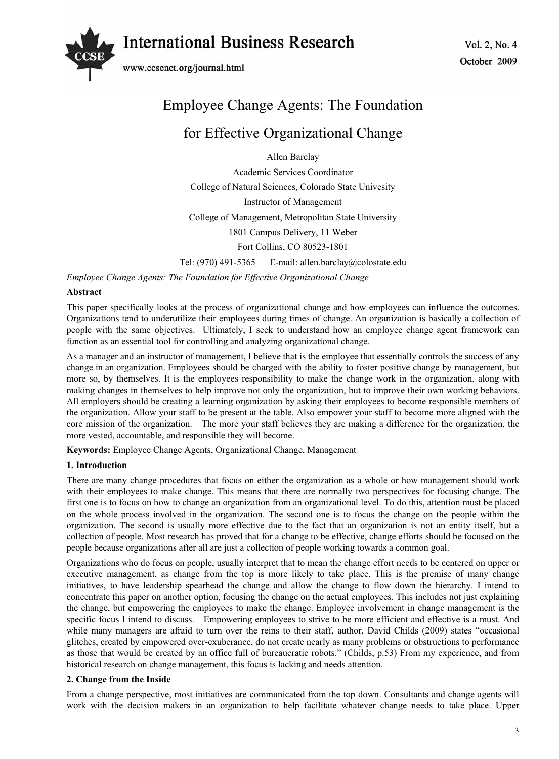*International Business Research*  $\frac{1}{2}$  Vol. 2, No. 4



www.ccsenet.org/journal.html

# Employee Change Agents: The Foundation for Effective Organizational Change

Allen Barclay

Academic Services Coordinator College of Natural Sciences, Colorado State Univesity Instructor of Management College of Management, Metropolitan State University 1801 Campus Delivery, 11 Weber Fort Collins, CO 80523-1801

Tel: (970) 491-5365 E-mail: allen.barclay@colostate.edu

*Employee Change Agents: The Foundation for Effective Organizational Change* 

## **Abstract**

This paper specifically looks at the process of organizational change and how employees can influence the outcomes. Organizations tend to underutilize their employees during times of change. An organization is basically a collection of people with the same objectives. Ultimately, I seek to understand how an employee change agent framework can function as an essential tool for controlling and analyzing organizational change.

As a manager and an instructor of management, I believe that is the employee that essentially controls the success of any change in an organization. Employees should be charged with the ability to foster positive change by management, but more so, by themselves. It is the employees responsibility to make the change work in the organization, along with making changes in themselves to help improve not only the organization, but to improve their own working behaviors. All employers should be creating a learning organization by asking their employees to become responsible members of the organization. Allow your staff to be present at the table. Also empower your staff to become more aligned with the core mission of the organization. The more your staff believes they are making a difference for the organization, the more vested, accountable, and responsible they will become.

**Keywords:** Employee Change Agents, Organizational Change, Management

# **1. Introduction**

There are many change procedures that focus on either the organization as a whole or how management should work with their employees to make change. This means that there are normally two perspectives for focusing change. The first one is to focus on how to change an organization from an organizational level. To do this, attention must be placed on the whole process involved in the organization. The second one is to focus the change on the people within the organization. The second is usually more effective due to the fact that an organization is not an entity itself, but a collection of people. Most research has proved that for a change to be effective, change efforts should be focused on the people because organizations after all are just a collection of people working towards a common goal.

Organizations who do focus on people, usually interpret that to mean the change effort needs to be centered on upper or executive management, as change from the top is more likely to take place. This is the premise of many change initiatives, to have leadership spearhead the change and allow the change to flow down the hierarchy. I intend to concentrate this paper on another option, focusing the change on the actual employees. This includes not just explaining the change, but empowering the employees to make the change. Employee involvement in change management is the specific focus I intend to discuss. Empowering employees to strive to be more efficient and effective is a must. And while many managers are afraid to turn over the reins to their staff, author, David Childs (2009) states "occasional glitches, created by empowered over-exuberance, do not create nearly as many problems or obstructions to performance as those that would be created by an office full of bureaucratic robots." (Childs, p.53) From my experience, and from historical research on change management, this focus is lacking and needs attention.

## **2. Change from the Inside**

From a change perspective, most initiatives are communicated from the top down. Consultants and change agents will work with the decision makers in an organization to help facilitate whatever change needs to take place. Upper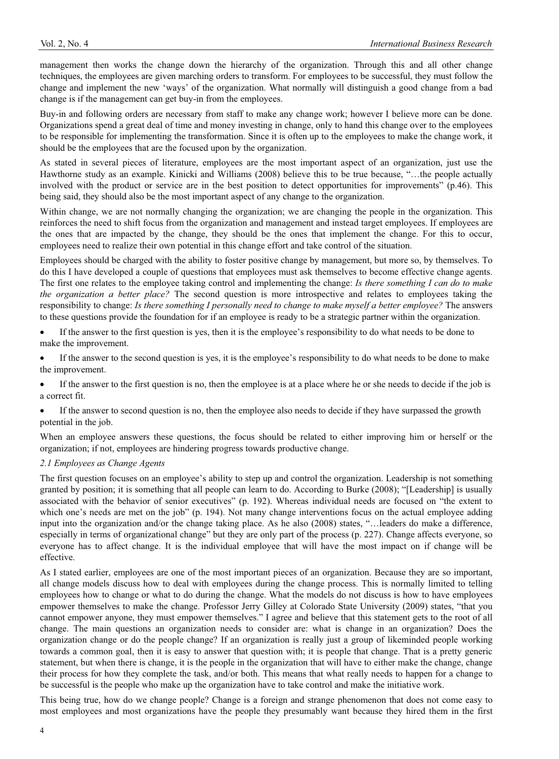management then works the change down the hierarchy of the organization. Through this and all other change techniques, the employees are given marching orders to transform. For employees to be successful, they must follow the change and implement the new 'ways' of the organization. What normally will distinguish a good change from a bad change is if the management can get buy-in from the employees.

Buy-in and following orders are necessary from staff to make any change work; however I believe more can be done. Organizations spend a great deal of time and money investing in change, only to hand this change over to the employees to be responsible for implementing the transformation. Since it is often up to the employees to make the change work, it should be the employees that are the focused upon by the organization.

As stated in several pieces of literature, employees are the most important aspect of an organization, just use the Hawthorne study as an example. Kinicki and Williams (2008) believe this to be true because, "…the people actually involved with the product or service are in the best position to detect opportunities for improvements" (p.46). This being said, they should also be the most important aspect of any change to the organization.

Within change, we are not normally changing the organization; we are changing the people in the organization. This reinforces the need to shift focus from the organization and management and instead target employees. If employees are the ones that are impacted by the change, they should be the ones that implement the change. For this to occur, employees need to realize their own potential in this change effort and take control of the situation.

Employees should be charged with the ability to foster positive change by management, but more so, by themselves. To do this I have developed a couple of questions that employees must ask themselves to become effective change agents. The first one relates to the employee taking control and implementing the change: *Is there something I can do to make the organization a better place?* The second question is more introspective and relates to employees taking the responsibility to change: *Is there something I personally need to change to make myself a better employee?* The answers to these questions provide the foundation for if an employee is ready to be a strategic partner within the organization.

• If the answer to the first question is yes, then it is the employee's responsibility to do what needs to be done to make the improvement.

• If the answer to the second question is yes, it is the employee's responsibility to do what needs to be done to make the improvement.

If the answer to the first question is no, then the employee is at a place where he or she needs to decide if the job is a correct fit.

If the answer to second question is no, then the employee also needs to decide if they have surpassed the growth potential in the job.

When an employee answers these questions, the focus should be related to either improving him or herself or the organization; if not, employees are hindering progress towards productive change.

## *2.1 Employees as Change Agents*

The first question focuses on an employee's ability to step up and control the organization. Leadership is not something granted by position; it is something that all people can learn to do. According to Burke (2008); "[Leadership] is usually associated with the behavior of senior executives" (p. 192). Whereas individual needs are focused on "the extent to which one's needs are met on the job" (p. 194). Not many change interventions focus on the actual employee adding input into the organization and/or the change taking place. As he also (2008) states, "…leaders do make a difference, especially in terms of organizational change" but they are only part of the process (p. 227). Change affects everyone, so everyone has to affect change. It is the individual employee that will have the most impact on if change will be effective.

As I stated earlier, employees are one of the most important pieces of an organization. Because they are so important, all change models discuss how to deal with employees during the change process. This is normally limited to telling employees how to change or what to do during the change. What the models do not discuss is how to have employees empower themselves to make the change. Professor Jerry Gilley at Colorado State University (2009) states, "that you cannot empower anyone, they must empower themselves." I agree and believe that this statement gets to the root of all change. The main questions an organization needs to consider are: what is change in an organization? Does the organization change or do the people change? If an organization is really just a group of likeminded people working towards a common goal, then it is easy to answer that question with; it is people that change. That is a pretty generic statement, but when there is change, it is the people in the organization that will have to either make the change, change their process for how they complete the task, and/or both. This means that what really needs to happen for a change to be successful is the people who make up the organization have to take control and make the initiative work.

This being true, how do we change people? Change is a foreign and strange phenomenon that does not come easy to most employees and most organizations have the people they presumably want because they hired them in the first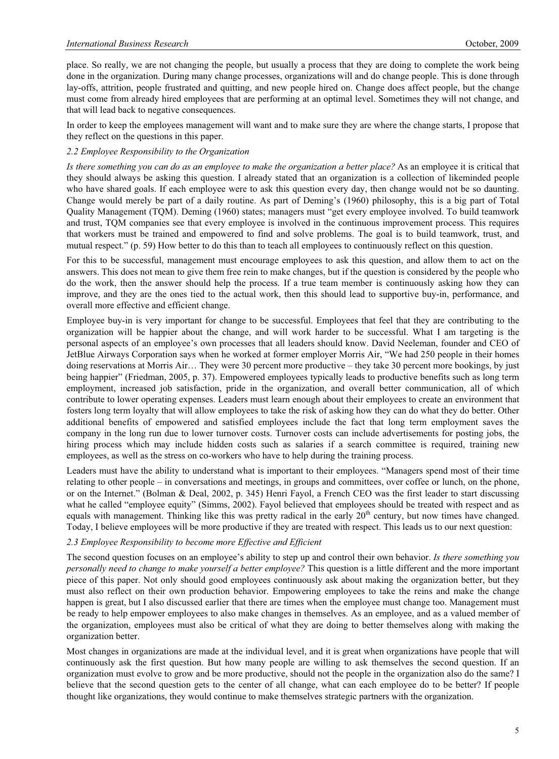#### *International Business Research* October, 2009

place. So really, we are not changing the people, but usually a process that they are doing to complete the work being done in the organization. During many change processes, organizations will and do change people. This is done through lay-offs, attrition, people frustrated and quitting, and new people hired on. Change does affect people, but the change must come from already hired employees that are performing at an optimal level. Sometimes they will not change, and that will lead back to negative consequences.

In order to keep the employees management will want and to make sure they are where the change starts, I propose that they reflect on the questions in this paper.

#### *2.2 Employee Responsibility to the Organization*

*Is there something you can do as an employee to make the organization a better place?* As an employee it is critical that they should always be asking this question. I already stated that an organization is a collection of likeminded people who have shared goals. If each employee were to ask this question every day, then change would not be so daunting. Change would merely be part of a daily routine. As part of Deming's (1960) philosophy, this is a big part of Total Quality Management (TQM). Deming (1960) states; managers must "get every employee involved. To build teamwork and trust, TQM companies see that every employee is involved in the continuous improvement process. This requires that workers must be trained and empowered to find and solve problems. The goal is to build teamwork, trust, and mutual respect." (p. 59) How better to do this than to teach all employees to continuously reflect on this question.

For this to be successful, management must encourage employees to ask this question, and allow them to act on the answers. This does not mean to give them free rein to make changes, but if the question is considered by the people who do the work, then the answer should help the process. If a true team member is continuously asking how they can improve, and they are the ones tied to the actual work, then this should lead to supportive buy-in, performance, and overall more effective and efficient change.

Employee buy-in is very important for change to be successful. Employees that feel that they are contributing to the organization will be happier about the change, and will work harder to be successful. What I am targeting is the personal aspects of an employee's own processes that all leaders should know. David Neeleman, founder and CEO of JetBlue Airways Corporation says when he worked at former employer Morris Air, "We had 250 people in their homes doing reservations at Morris Air… They were 30 percent more productive – they take 30 percent more bookings, by just being happier" (Friedman, 2005, p. 37). Empowered employees typically leads to productive benefits such as long term employment, increased job satisfaction, pride in the organization, and overall better communication, all of which contribute to lower operating expenses. Leaders must learn enough about their employees to create an environment that fosters long term loyalty that will allow employees to take the risk of asking how they can do what they do better. Other additional benefits of empowered and satisfied employees include the fact that long term employment saves the company in the long run due to lower turnover costs. Turnover costs can include advertisements for posting jobs, the hiring process which may include hidden costs such as salaries if a search committee is required, training new employees, as well as the stress on co-workers who have to help during the training process.

Leaders must have the ability to understand what is important to their employees. "Managers spend most of their time relating to other people – in conversations and meetings, in groups and committees, over coffee or lunch, on the phone, or on the Internet." (Bolman & Deal, 2002, p. 345) Henri Fayol, a French CEO was the first leader to start discussing what he called "employee equity" (Simms, 2002). Fayol believed that employees should be treated with respect and as equals with management. Thinking like this was pretty radical in the early  $20<sup>th</sup>$  century, but now times have changed. Today, I believe employees will be more productive if they are treated with respect. This leads us to our next question:

#### *2.3 Employee Responsibility to become more Effective and Efficient*

The second question focuses on an employee's ability to step up and control their own behavior. *Is there something you personally need to change to make yourself a better employee?* This question is a little different and the more important piece of this paper. Not only should good employees continuously ask about making the organization better, but they must also reflect on their own production behavior. Empowering employees to take the reins and make the change happen is great, but I also discussed earlier that there are times when the employee must change too. Management must be ready to help empower employees to also make changes in themselves. As an employee, and as a valued member of the organization, employees must also be critical of what they are doing to better themselves along with making the organization better.

Most changes in organizations are made at the individual level, and it is great when organizations have people that will continuously ask the first question. But how many people are willing to ask themselves the second question. If an organization must evolve to grow and be more productive, should not the people in the organization also do the same? I believe that the second question gets to the center of all change, what can each employee do to be better? If people thought like organizations, they would continue to make themselves strategic partners with the organization.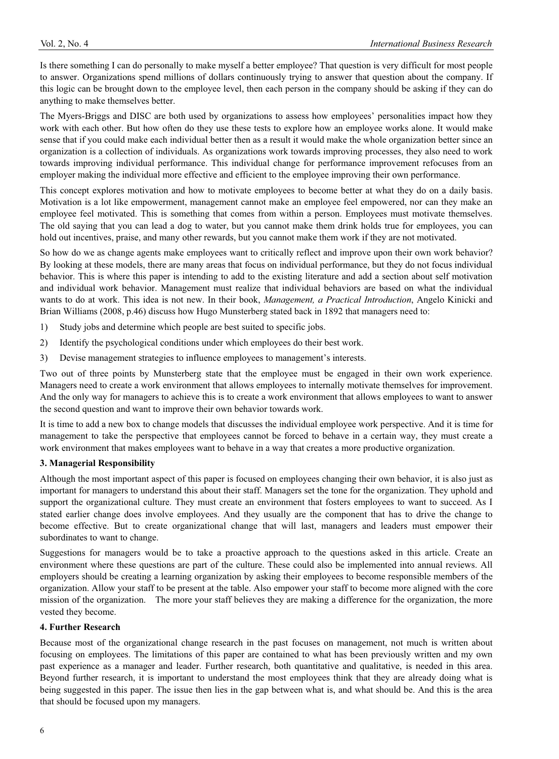Is there something I can do personally to make myself a better employee? That question is very difficult for most people to answer. Organizations spend millions of dollars continuously trying to answer that question about the company. If this logic can be brought down to the employee level, then each person in the company should be asking if they can do anything to make themselves better.

The Myers-Briggs and DISC are both used by organizations to assess how employees' personalities impact how they work with each other. But how often do they use these tests to explore how an employee works alone. It would make sense that if you could make each individual better then as a result it would make the whole organization better since an organization is a collection of individuals. As organizations work towards improving processes, they also need to work towards improving individual performance. This individual change for performance improvement refocuses from an employer making the individual more effective and efficient to the employee improving their own performance.

This concept explores motivation and how to motivate employees to become better at what they do on a daily basis. Motivation is a lot like empowerment, management cannot make an employee feel empowered, nor can they make an employee feel motivated. This is something that comes from within a person. Employees must motivate themselves. The old saying that you can lead a dog to water, but you cannot make them drink holds true for employees, you can hold out incentives, praise, and many other rewards, but you cannot make them work if they are not motivated.

So how do we as change agents make employees want to critically reflect and improve upon their own work behavior? By looking at these models, there are many areas that focus on individual performance, but they do not focus individual behavior. This is where this paper is intending to add to the existing literature and add a section about self motivation and individual work behavior. Management must realize that individual behaviors are based on what the individual wants to do at work. This idea is not new. In their book, *Management, a Practical Introduction*, Angelo Kinicki and Brian Williams (2008, p.46) discuss how Hugo Munsterberg stated back in 1892 that managers need to:

- 1) Study jobs and determine which people are best suited to specific jobs.
- 2) Identify the psychological conditions under which employees do their best work.
- 3) Devise management strategies to influence employees to management's interests.

Two out of three points by Munsterberg state that the employee must be engaged in their own work experience. Managers need to create a work environment that allows employees to internally motivate themselves for improvement. And the only way for managers to achieve this is to create a work environment that allows employees to want to answer the second question and want to improve their own behavior towards work.

It is time to add a new box to change models that discusses the individual employee work perspective. And it is time for management to take the perspective that employees cannot be forced to behave in a certain way, they must create a work environment that makes employees want to behave in a way that creates a more productive organization.

## **3. Managerial Responsibility**

Although the most important aspect of this paper is focused on employees changing their own behavior, it is also just as important for managers to understand this about their staff. Managers set the tone for the organization. They uphold and support the organizational culture. They must create an environment that fosters employees to want to succeed. As I stated earlier change does involve employees. And they usually are the component that has to drive the change to become effective. But to create organizational change that will last, managers and leaders must empower their subordinates to want to change.

Suggestions for managers would be to take a proactive approach to the questions asked in this article. Create an environment where these questions are part of the culture. These could also be implemented into annual reviews. All employers should be creating a learning organization by asking their employees to become responsible members of the organization. Allow your staff to be present at the table. Also empower your staff to become more aligned with the core mission of the organization. The more your staff believes they are making a difference for the organization, the more vested they become.

#### **4. Further Research**

Because most of the organizational change research in the past focuses on management, not much is written about focusing on employees. The limitations of this paper are contained to what has been previously written and my own past experience as a manager and leader. Further research, both quantitative and qualitative, is needed in this area. Beyond further research, it is important to understand the most employees think that they are already doing what is being suggested in this paper. The issue then lies in the gap between what is, and what should be. And this is the area that should be focused upon my managers.